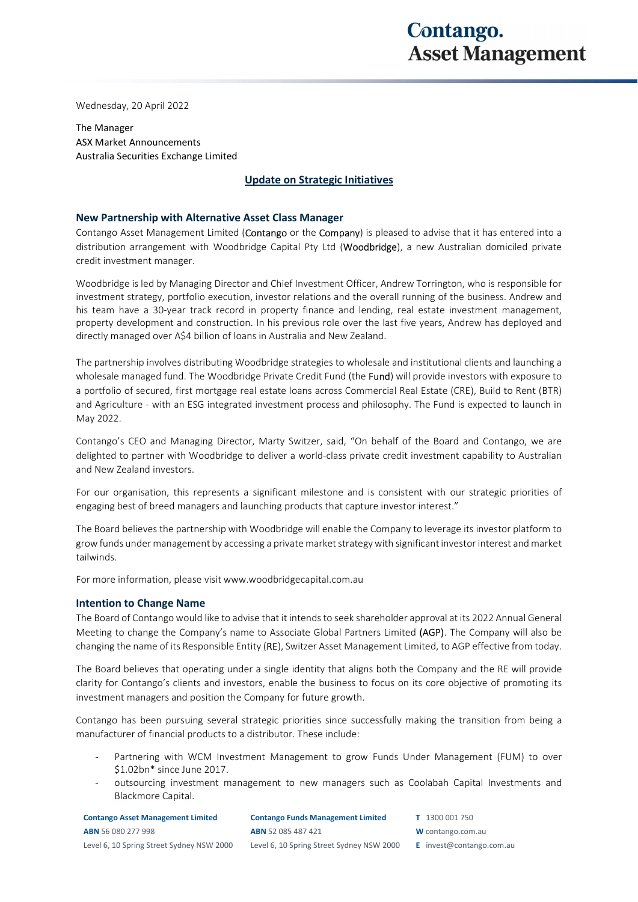## Contango. **Asset Management**

Wednesday, 20 April 2022

The Manager ASX Market Announcements Australia Securities Exchange Limited

## Update on Strategic Initiatives

## New Partnership with Alternative Asset Class Manager

Contango Asset Management Limited (Contango or the Company) is pleased to advise that it has entered into a distribution arrangement with Woodbridge Capital Pty Ltd (Woodbridge), a new Australian domiciled private credit investment manager.

Woodbridge is led by Managing Director and Chief Investment Officer, Andrew Torrington, who is responsible for investment strategy, portfolio execution, investor relations and the overall running of the business. Andrew and his team have a 30-year track record in property finance and lending, real estate investment management, property development and construction. In his previous role over the last five years, Andrew has deployed and directly managed over A\$4 billion of loans in Australia and New Zealand.

The partnership involves distributing Woodbridge strategies to wholesale and institutional clients and launching a wholesale managed fund. The Woodbridge Private Credit Fund (the Fund) will provide investors with exposure to a portfolio of secured, first mortgage real estate loans across Commercial Real Estate (CRE), Build to Rent (BTR) and Agriculture - with an ESG integrated investment process and philosophy. The Fund is expected to launch in May 2022.

Contango's CEO and Managing Director, Marty Switzer, said, "On behalf of the Board and Contango, we are delighted to partner with Woodbridge to deliver a world-class private credit investment capability to Australian and New Zealand investors.

For our organisation, this represents a significant milestone and is consistent with our strategic priorities of engaging best of breed managers and launching products that capture investor interest."

The Board believes the partnership with Woodbridge will enable the Company to leverage its investor platform to grow funds under management by accessing a private market strategy with significant investor interest and market tailwinds.

For more information, please visit www.woodbridgecapital.com.au

## Intention to Change Name

The Board of Contango would like to advise that it intends to seek shareholder approval at its 2022 Annual General Meeting to change the Company's name to Associate Global Partners Limited (AGP). The Company will also be changing the name of its Responsible Entity (RE), Switzer Asset Management Limited, to AGP effective from today.

The Board believes that operating under a single identity that aligns both the Company and the RE will provide clarity for Contango's clients and investors, enable the business to focus on its core objective of promoting its investment managers and position the Company for future growth.

Contango has been pursuing several strategic priorities since successfully making the transition from being a manufacturer of financial products to a distributor. These include:

- Partnering with WCM Investment Management to grow Funds Under Management (FUM) to over \$1.02bn\* since June 2017.
- outsourcing investment management to new managers such as Coolabah Capital Investments and Blackmore Capital.

| <b>Contango Asset Management Limited</b>  | <b>Contango Funds Management Limited</b>  | T 1300 001 750                  |
|-------------------------------------------|-------------------------------------------|---------------------------------|
| <b>ABN</b> 56 080 277 998                 | <b>ABN</b> 52 085 487 421                 | W contango.com.au               |
| Level 6, 10 Spring Street Sydney NSW 2000 | Level 6, 10 Spring Street Sydney NSW 2000 | <b>E</b> invest@contango.com.au |